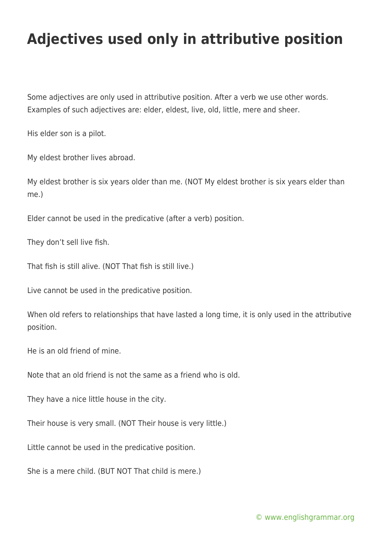## **Adjectives used only in attributive position**

Some adjectives are only used in attributive position. After a verb we use other words. Examples of such adjectives are: elder, eldest, live, old, little, mere and sheer.

His elder son is a pilot.

My eldest brother lives abroad.

My eldest brother is six years older than me. (NOT My eldest brother is six years elder than me.)

Elder cannot be used in the predicative (after a verb) position.

They don't sell live fish.

That fish is still alive. (NOT That fish is still live.)

Live cannot be used in the predicative position.

When old refers to relationships that have lasted a long time, it is only used in the attributive position.

He is an old friend of mine.

Note that an old friend is not the same as a friend who is old.

They have a nice little house in the city.

Their house is very small. (NOT Their house is very little.)

Little cannot be used in the predicative position.

She is a mere child. (BUT NOT That child is mere.)